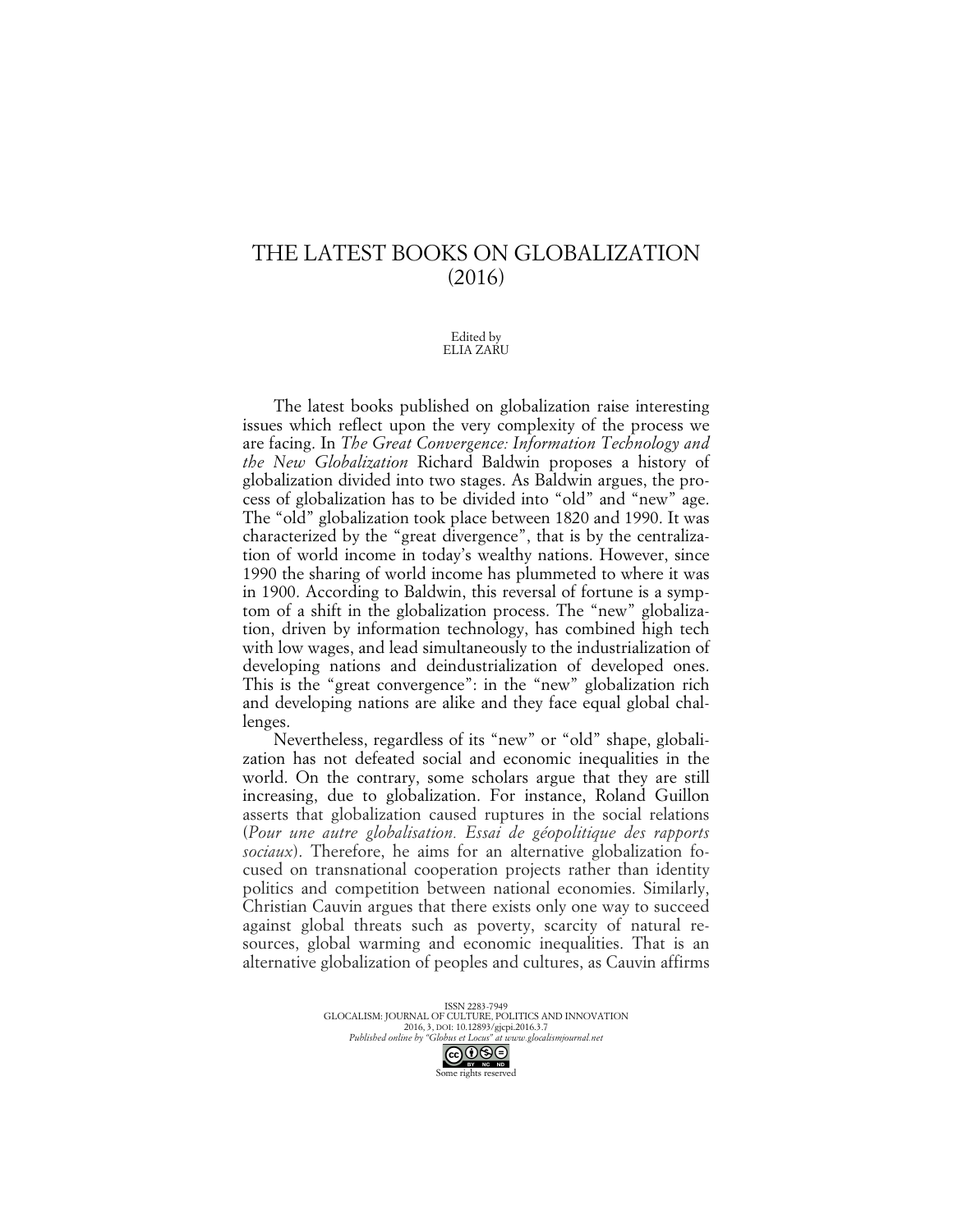## THE LATEST BOOKS ON GLOBALIZATION (2016)

## Edited by ELIA ZARU

The latest books published on globalization raise interesting issues which reflect upon the very complexity of the process we are facing. In *The Great Convergence: Information Technology and the New Globalization* Richard Baldwin proposes a history of globalization divided into two stages. As Baldwin argues, the process of globalization has to be divided into "old" and "new" age. The "old" globalization took place between 1820 and 1990. It was characterized by the "great divergence", that is by the centralization of world income in today's wealthy nations. However, since 1990 the sharing of world income has plummeted to where it was in 1900. According to Baldwin, this reversal of fortune is a symptom of a shift in the globalization process. The "new" globalization, driven by information technology, has combined high tech with low wages, and lead simultaneously to the industrialization of developing nations and deindustrialization of developed ones. This is the "great convergence": in the "new" globalization rich and developing nations are alike and they face equal global challenges.

Nevertheless, regardless of its "new" or "old" shape, globalization has not defeated social and economic inequalities in the world. On the contrary, some scholars argue that they are still increasing, due to globalization. For instance, Roland Guillon asserts that globalization caused ruptures in the social relations (*Pour une autre globalisation. Essai de géopolitique des rapports sociaux*). Therefore, he aims for an alternative globalization focused on transnational cooperation projects rather than identity politics and competition between national economies. Similarly, Christian Cauvin argues that there exists only one way to succeed against global threats such as poverty, scarcity of natural resources, global warming and economic inequalities. That is an alternative globalization of peoples and cultures, as Cauvin affirms

> ISSN 2283-7949 GLOCALISM: JOURNAL OF CULTURE, POLITICS AND INNOVATION 2016, 3, DOI: 10.12893/gjcpi.2016.3.7 *Published online by "Globus et Locus" at www.glocalismjournal.net*

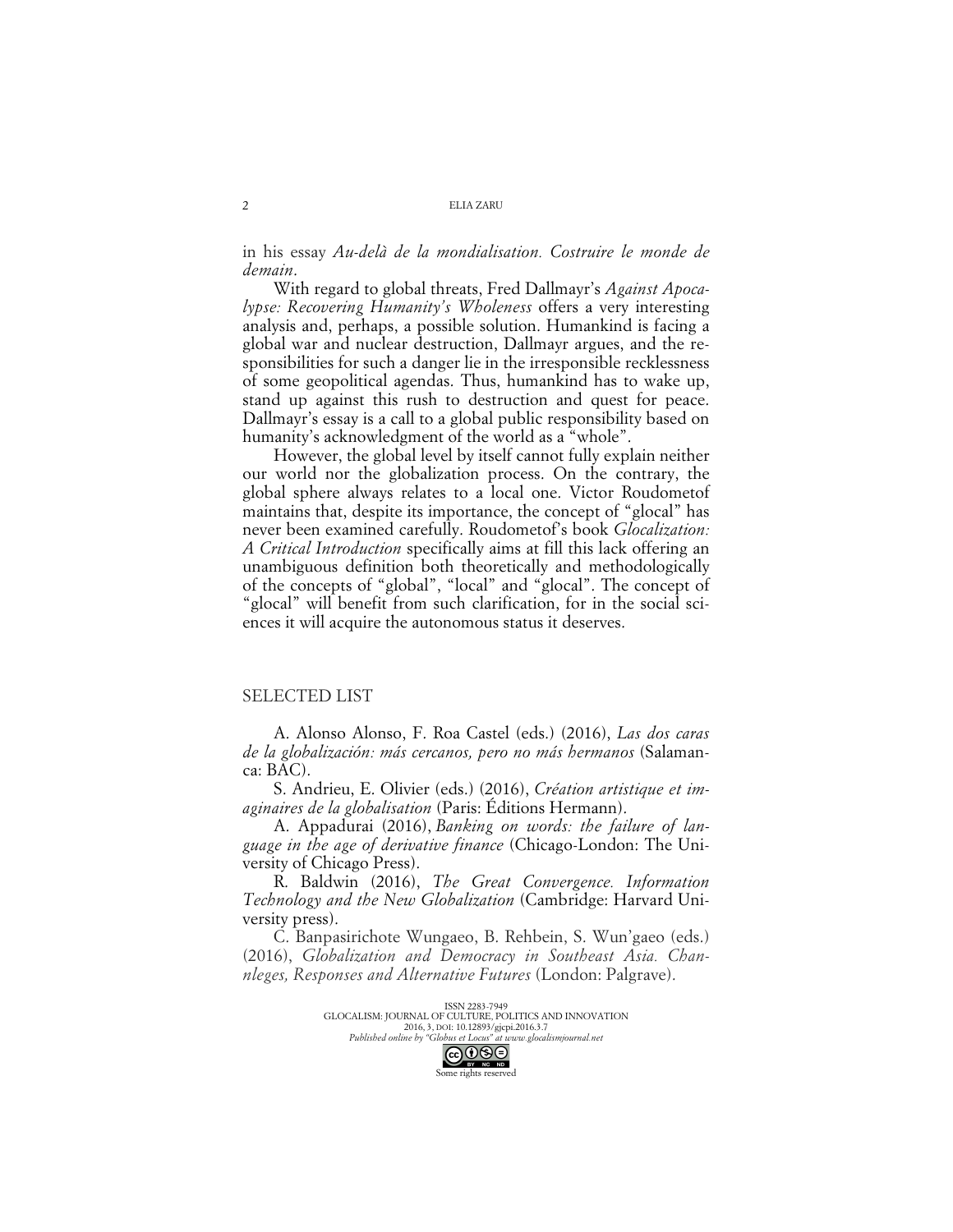in his essay *Au-delà de la mondialisation. Costruire le monde de demain*.

With regard to global threats, Fred Dallmayr's *Against Apocalypse: Recovering Humanity's Wholeness* offers a very interesting analysis and, perhaps, a possible solution. Humankind is facing a global war and nuclear destruction, Dallmayr argues, and the responsibilities for such a danger lie in the irresponsible recklessness of some geopolitical agendas. Thus, humankind has to wake up, stand up against this rush to destruction and quest for peace. Dallmayr's essay is a call to a global public responsibility based on humanity's acknowledgment of the world as a "whole".

However, the global level by itself cannot fully explain neither our world nor the globalization process. On the contrary, the global sphere always relates to a local one. Victor Roudometof maintains that, despite its importance, the concept of "glocal" has never been examined carefully. Roudometof's book *Glocalization: A Critical Introduction* specifically aims at fill this lack offering an unambiguous definition both theoretically and methodologically of the concepts of "global", "local" and "glocal". The concept of "glocal" will benefit from such clarification, for in the social sciences it will acquire the autonomous status it deserves.

## SELECTED LIST

A. Alonso Alonso, F. Roa Castel (eds.) (2016), *Las dos caras de la globalización: más cercanos, pero no más hermanos* (Salamanca: BAC).

S. Andrieu, E. Olivier (eds.) (2016), *Création artistique et imaginaires de la globalisation* (Paris: Éditions Hermann).

A. Appadurai (2016), *Banking on words: the failure of language in the age of derivative finance* (Chicago-London: The University of Chicago Press).

R. Baldwin (2016), *The Great Convergence. Information Technology and the New Globalization* (Cambridge: Harvard University press).

C. Banpasirichote Wungaeo, B. Rehbein, S. Wun'gaeo (eds.) (2016), *Globalization and Democracy in Southeast Asia. Channleges, Responses and Alternative Futures* (London: Palgrave).

> ISSN 2283-7949 GLOCALISM: JOURNAL OF CULTURE, POLITICS AND INNOVATION 2016, 3, DOI: 10.12893/gjcpi.2016.3.7 *Published online by "Globus et Locus" at www.glocalismjournal.net*



2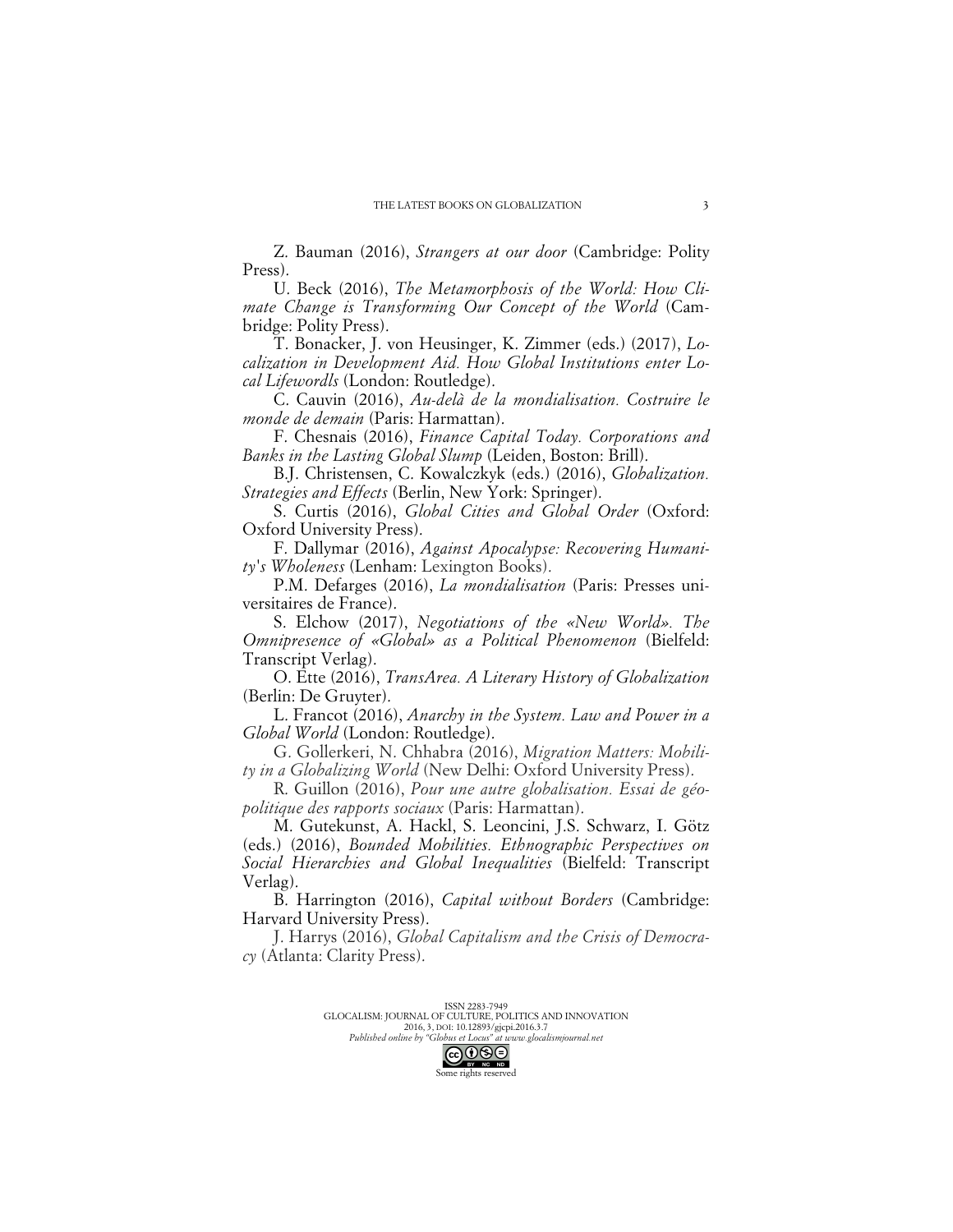Z. Bauman (2016), *Strangers at our door* (Cambridge: Polity Press).

U. Beck (2016), *The Metamorphosis of the World: How Climate Change is Transforming Our Concept of the World* (Cambridge: Polity Press).

T. Bonacker, J. von Heusinger, K. Zimmer (eds.) (2017), *Localization in Development Aid. How Global Institutions enter Local Lifewordls* (London: Routledge).

C. Cauvin (2016), *Au-delà de la mondialisation. Costruire le monde de demain* (Paris: Harmattan).

F. Chesnais (2016), *Finance Capital Today. Corporations and Banks in the Lasting Global Slump* (Leiden, Boston: Brill).

B.J. Christensen, C. Kowalczkyk (eds.) (2016), *Globalization. Strategies and Effects* (Berlin, New York: Springer).

S. Curtis (2016), *Global Cities and Global Order* (Oxford: Oxford University Press).

F. Dallymar (2016), *Against Apocalypse: Recovering Humanity's Wholeness* (Lenham: Lexington Books).

P.M. Defarges (2016), *La mondialisation* (Paris: Presses universitaires de France).

S. Elchow (2017), *Negotiations of the «New World». The Omnipresence of «Global» as a Political Phenomenon* (Bielfeld: Transcript Verlag).

O. Ette (2016), *TransArea. A Literary History of Globalization* (Berlin: De Gruyter).

L. Francot (2016), *Anarchy in the System. Law and Power in a Global World* (London: Routledge).

G. Gollerkeri, N. Chhabra (2016), *Migration Matters: Mobility in a Globalizing World* (New Delhi: Oxford University Press).

R. Guillon (2016), *Pour une autre globalisation. Essai de géopolitique des rapports sociaux* (Paris: Harmattan).

M. Gutekunst, A. Hackl, S. Leoncini, J.S. Schwarz, I. Götz (eds.) (2016), *Bounded Mobilities. Ethnographic Perspectives on Social Hierarchies and Global Inequalities* (Bielfeld: Transcript Verlag).

B. Harrington (2016), *Capital without Borders* (Cambridge: Harvard University Press).

J. Harrys (2016), *Global Capitalism and the Crisis of Democracy* (Atlanta: Clarity Press).

> ISSN 2283-7949 GLOCALISM: JOURNAL OF CULTURE, POLITICS AND INNOVATION 2016, 3, DOI: 10.12893/gjcpi.2016.3.7

*Published online by "Globus et Locus" at www.glocalismjournal.net*

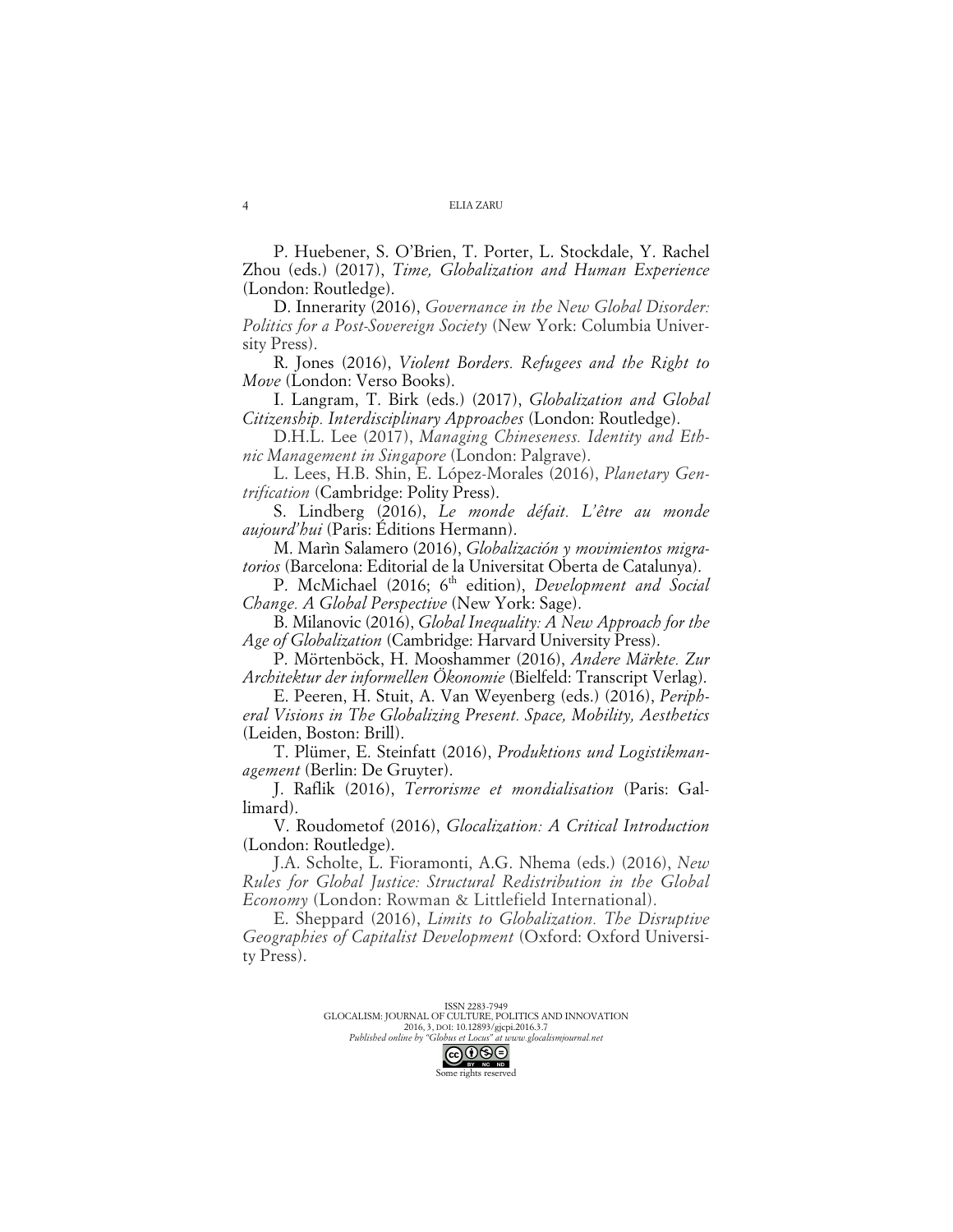P. Huebener, S. O'Brien, T. Porter, L. Stockdale, Y. Rachel Zhou (eds.) (2017), *Time, Globalization and Human Experience* (London: Routledge).

D. Innerarity (2016), *Governance in the New Global Disorder: Politics for a Post-Sovereign Society* (New York: Columbia University Press).

R. Jones (2016), *Violent Borders. Refugees and the Right to Move* (London: Verso Books).

I. Langram, T. Birk (eds.) (2017), *Globalization and Global Citizenship. Interdisciplinary Approaches* (London: Routledge).

D.H.L. Lee (2017), *Managing Chineseness. Identity and Ethnic Management in Singapore* (London: Palgrave).

L. Lees, H.B. Shin, E. López-Morales (2016), *Planetary Gentrification* (Cambridge: Polity Press).

S. Lindberg (2016), *Le monde défait. L'être au monde aujourd'hui* (Paris: Éditions Hermann).

M. Marìn Salamero (2016), *Globalización y movimientos migratorios* (Barcelona: Editorial de la Universitat Oberta de Catalunya).

P. McMichael (2016; 6<sup>th</sup> edition), *Development and Social Change. A Global Perspective* (New York: Sage).

B. Milanovic (2016), *Global Inequality: A New Approach for the Age of Globalization* (Cambridge: Harvard University Press).

P. Mörtenböck, H. Mooshammer (2016), *Andere Märkte. Zur Architektur der informellen Ökonomie* (Bielfeld: Transcript Verlag).

E. Peeren, H. Stuit, A. Van Weyenberg (eds.) (2016), *Peripheral Visions in The Globalizing Present. Space, Mobility, Aesthetics* (Leiden, Boston: Brill).

T. Plümer, E. Steinfatt (2016), *Produktions und Logistikmanagement* (Berlin: De Gruyter).

J. Raflik (2016), *Terrorisme et mondialisation* (Paris: Gallimard).

V. Roudometof (2016), *Glocalization: A Critical Introduction* (London: Routledge).

J.A. Scholte, L. Fioramonti, A.G. Nhema (eds.) (2016), *New Rules for Global Justice: Structural Redistribution in the Global Economy* (London: Rowman & Littlefield International).

E. Sheppard (2016), *Limits to Globalization. The Disruptive Geographies of Capitalist Development* (Oxford: Oxford University Press).

> ISSN 2283-7949 GLOCALISM: JOURNAL OF CULTURE, POLITICS AND INNOVATION 2016, 3, DOI: 10.12893/gjcpi.2016.3.7